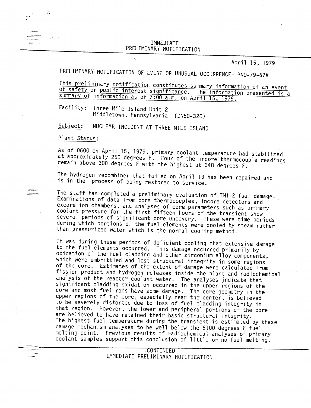## IMMEDIAT<br>NADV NOTI PRELIMINARY NOTIFICATIO

April 15, 1979

## PRELIMINARY NOTIFICATION OF EVENT OR UNUSUAL OCCURRENCE--PNO-79-67V

This preliminary notification constitutes summary information of an event of safety or public interest significance. The information presented is summary of information as of 7:00 a.m. on April 15. 1979.

Facility: Three Mile Island Unit 2 Middletown, Pennsylvania (DN50-320)

Subject: NUCLEAR INCIDENT AT THREE MILE ISLAND

Plant Status:

waxaana

ilililililil<br>Ililililililil

As of 0600 on April 15, 1979, primary coolant temperature had stabilized at approximately 250 degrees F. Four of the incore thermocouple readings remain above 300 degrees F with the highest at 348 degrees F.

The hydrogen recombiner that failed on April 13 has been repaired and is in the process of being restored to service.

The staff has completed a preliminary evaluation of TMI-2 fuel damage. Examinations of data from core thermocouples. incore detectors and excore ion chambers, and analyses of core parameters such as primary coolant pressure for the first fifteen hours of the transient show several periods of significant core uncovery. These were time periods during which portions of the fuel elements were cooled by steam rather than pressurized water which is the normal cooling method.

It was during these periods of deficient cooling that extensive damage to the fuel elements occurred. This damage occurred primarily by oxidation of the fuel cladding and other zirconium alloy components, which were embrittled and lost structural integrity in some regions of the core. Estimates of the extent of damage were calculated from fission product and hydrogen releases inside the plant and radiochemical analysis of the reactor coolant water. The analyses indicate that significant cladding oxidation occurred in the upper regions of the core and most fuel rods have some damage. The core geometry in the upper regions of the core, especially near the center, is believed to be severely distorted due to loss of fuel cladding integrity in that region. However. the lower and peripheral portions of the core are believed to have retained their basic structural integrity. The highest fuel temperature during the transient is estimated by these damage mechanism analyses to be well below the 5100 degrees F fuel melting point. Previous results of radiochemical analyses of primary coolant samples support this conclusion of little or no fuel melting.

> ,cONTINUED IMMEDIATE PRELIMINARY NOTIFICATION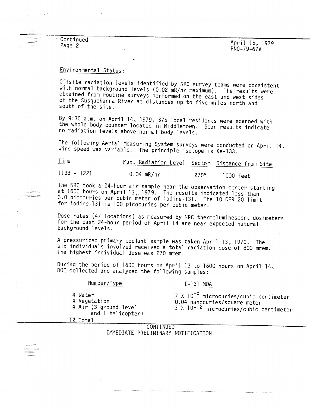" Continued Page 2

## Environmental Status:

Offsite radiation levels identified by NRC survey teams were consistent with normal background levels (0.02 mR/hr maximum). The results were obtained from routine surveys performed on the east and west sides of the Susquehanna River at distances up to five miles north and south of the site.

By 9:30 a.m. on April 14, 1979, 375 local residents were scanned with the whole body counter located in Middletown. Scan results indicate no radiation levels above normal body levels.

The following Aerial Measuring System surveys were conducted on April 14. Wind speed was variable. The principle isotope is Xe-133.

Time Max. Radiation Level Sector Distance from Site  $1138 - 1221$  $0.04$  mR/hr  $270^\circ$ 1000 feet

The NRC took a 24-hour air sample near the observation center starting at 1600 hours on April l3,. 1979. The results indicated less than 3.0 picocuries per cubic meter of iodine-131. The 10 CFR 20 limit for iodine-13l is 100 picocuries per cubic meter.

Dose rates (47 locations) as measured by NRC thermoluminescent dosimeters for the past 24-hour period of April 14 are near expected natural background levels.

A pressurized primary coolant sample was taken April 13, 1979. The six individuals involved received a total radiation dose of 800 mrem. The highest individual dose was 270 mrem.

During the period of 1600 hours on April 13 to 1600 hours on April 14, DOE collected and analyzed the following samples:

Number/Type

4 Air (3 ground level

4 Water

4 Vegetation

## $I - 131$  MDA

7 X 10-<sup>8</sup> microcuries/cubic centimeter 0.04 nanocuries/square meter 3 X 10-12 microcuries/cubic centimeter

and 1 helicopter) 12 Total

**CONTINUED** IMMEDIATE PRELIMINARY NOTIFICATION